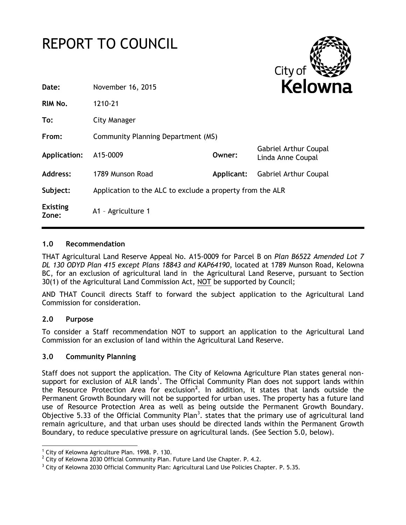



| Date:                    | November 16, 2015                                         |            | <b>Kelowr</b>                                     |  |
|--------------------------|-----------------------------------------------------------|------------|---------------------------------------------------|--|
| RIM No.                  | 1210-21                                                   |            |                                                   |  |
| To:                      | City Manager                                              |            |                                                   |  |
| From:                    | Community Planning Department (MS)                        |            |                                                   |  |
| Application:             | A15-0009                                                  | Owner:     | <b>Gabriel Arthur Coupal</b><br>Linda Anne Coupal |  |
| Address:                 | 1789 Munson Road                                          | Applicant: | <b>Gabriel Arthur Coupal</b>                      |  |
| Subject:                 | Application to the ALC to exclude a property from the ALR |            |                                                   |  |
| <b>Existing</b><br>Zone: | A1 - Agriculture 1                                        |            |                                                   |  |

### **1.0 Recommendation**

THAT Agricultural Land Reserve Appeal No. A15-0009 for Parcel B on *Plan B6522 Amended Lot 7 DL 130 ODYD Plan 415 except Plans 18843 and KAP64190*, located at 1789 Munson Road, Kelowna BC, for an exclusion of agricultural land in the Agricultural Land Reserve, pursuant to Section 30(1) of the Agricultural Land Commission Act, NOT be supported by Council;

AND THAT Council directs Staff to forward the subject application to the Agricultural Land Commission for consideration.

# **2.0 Purpose**

To consider a Staff recommendation NOT to support an application to the Agricultural Land Commission for an exclusion of land within the Agricultural Land Reserve.

### **3.0 Community Planning**

Staff does not support the application. The City of Kelowna Agriculture Plan states general nonsupport for exclusion of ALR lands<sup>1</sup>. The Official Community Plan does not support lands within the Resource Protection Area for exclusion**<sup>2</sup>** . In addition, it states that lands outside the Permanent Growth Boundary will not be supported for urban uses. The property has a future land use of Resource Protection Area as well as being outside the Permanent Growth Boundary. Objective 5.33 of the Official Community Plan<sup>3</sup>. states that the primary use of agricultural land remain agriculture, and that urban uses should be directed lands within the Permanent Growth Boundary, to reduce speculative pressure on agricultural lands. (See Section 5.0, below).

<sup>-</sup> $1$  City of Kelowna Agriculture Plan. 1998. P. 130.

 $2$  City of Kelowna 2030 Official Community Plan. Future Land Use Chapter. P. 4.2.

<sup>&</sup>lt;sup>3</sup> City of Kelowna 2030 Official Community Plan: Agricultural Land Use Policies Chapter. P. 5.35.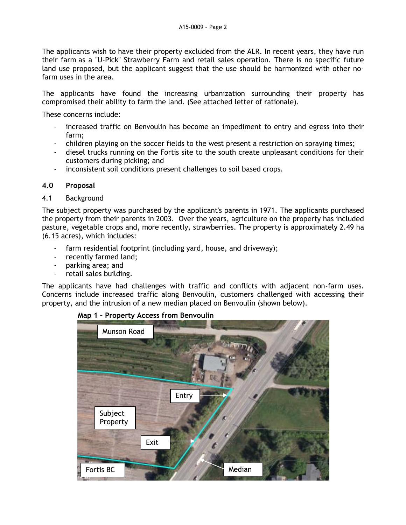The applicants wish to have their property excluded from the ALR. In recent years, they have run their farm as a "U-Pick" Strawberry Farm and retail sales operation. There is no specific future land use proposed, but the applicant suggest that the use should be harmonized with other nofarm uses in the area.

The applicants have found the increasing urbanization surrounding their property has compromised their ability to farm the land. (See attached letter of rationale).

These concerns include:

- increased traffic on Benvoulin has become an impediment to entry and egress into their farm;
- children playing on the soccer fields to the west present a restriction on spraying times;
- diesel trucks running on the Fortis site to the south create unpleasant conditions for their customers during picking; and
- inconsistent soil conditions present challenges to soil based crops.

# **4.0 Proposal**

# 4.1 Background

The subject property was purchased by the applicant's parents in 1971. The applicants purchased the property from their parents in 2003. Over the years, agriculture on the property has included pasture, vegetable crops and, more recently, strawberries. The property is approximately 2.49 ha (6.15 acres), which includes:

- farm residential footprint (including yard, house, and driveway);
- recently farmed land;
- parking area; and
- retail sales building.

The applicants have had challenges with traffic and conflicts with adjacent non-farm uses. Concerns include increased traffic along Benvoulin, customers challenged with accessing their property, and the intrusion of a new median placed on Benvoulin (shown below).



# **Map 1 – Property Access from Benvoulin**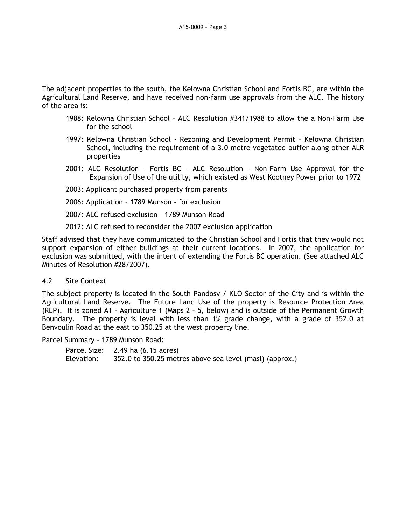The adjacent properties to the south, the Kelowna Christian School and Fortis BC, are within the Agricultural Land Reserve, and have received non-farm use approvals from the ALC. The history of the area is:

- 1988: Kelowna Christian School ALC Resolution #341/1988 to allow the a Non-Farm Use for the school
- 1997: Kelowna Christian School Rezoning and Development Permit Kelowna Christian School, including the requirement of a 3.0 metre vegetated buffer along other ALR properties
- 2001: ALC Resolution Fortis BC ALC Resolution Non-Farm Use Approval for the Expansion of Use of the utility, which existed as West Kootney Power prior to 1972
- 2003: Applicant purchased property from parents
- 2006: Application 1789 Munson for exclusion
- 2007: ALC refused exclusion 1789 Munson Road
- 2012: ALC refused to reconsider the 2007 exclusion application

Staff advised that they have communicated to the Christian School and Fortis that they would not support expansion of either buildings at their current locations. In 2007, the application for exclusion was submitted, with the intent of extending the Fortis BC operation. (See attached ALC Minutes of Resolution #28/2007).

#### 4.2 Site Context

The subject property is located in the South Pandosy / KLO Sector of the City and is within the Agricultural Land Reserve. The Future Land Use of the property is Resource Protection Area (REP). It is zoned A1 – Agriculture 1 (Maps 2 – 5, below) and is outside of the Permanent Growth Boundary. The property is level with less than 1% grade change, with a grade of 352.0 at Benvoulin Road at the east to 350.25 at the west property line.

Parcel Summary – 1789 Munson Road:

```
Parcel Size: 2.49 ha (6.15 acres)
Elevation: 352.0 to 350.25 metres above sea level (masl) (approx.)
```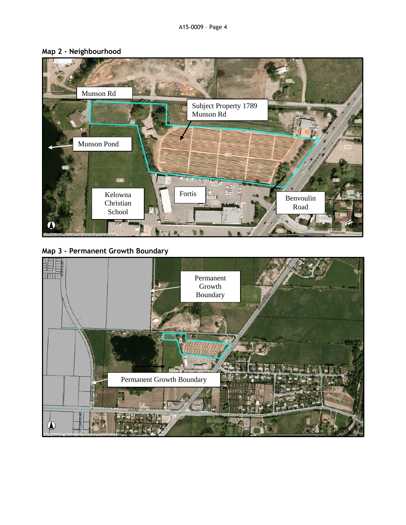

# **Map 2 - Neighbourhood**



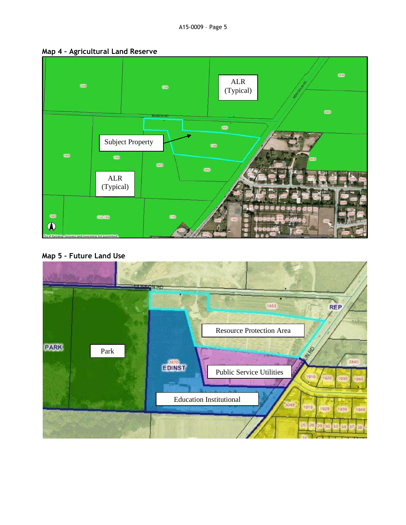



**Map 5 – Future Land Use**

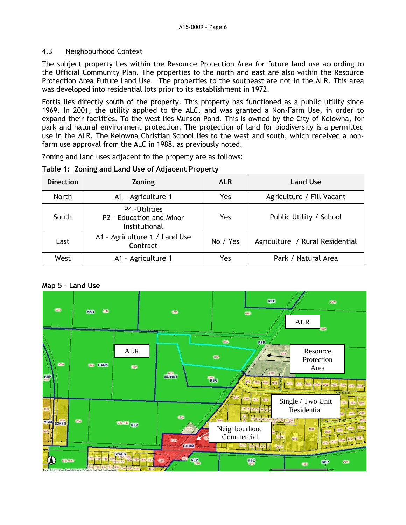# 4.3 Neighbourhood Context

The subject property lies within the Resource Protection Area for future land use according to the Official Community Plan. The properties to the north and east are also within the Resource Protection Area Future Land Use. The properties to the southeast are not in the ALR. This area was developed into residential lots prior to its establishment in 1972.

Fortis lies directly south of the property. This property has functioned as a public utility since 1969. In 2001, the utility applied to the ALC, and was granted a Non-Farm Use, in order to expand their facilities. To the west lies Munson Pond. This is owned by the City of Kelowna, for park and natural environment protection. The protection of land for biodiversity is a permitted use in the ALR. The Kelowna Christian School lies to the west and south, which received a nonfarm use approval from the ALC in 1988, as previously noted.

Zoning and land uses adjacent to the property are as follows:

| <b>Direction</b> | Zoning                                                      | <b>ALR</b> | <b>Land Use</b>                 |
|------------------|-------------------------------------------------------------|------------|---------------------------------|
| <b>North</b>     | A1 - Agriculture 1                                          | Yes        | Agriculture / Fill Vacant       |
| South            | P4 - Utilities<br>P2 - Education and Minor<br>Institutional | Yes        | Public Utility / School         |
| East             | A1 - Agriculture 1 / Land Use<br>Contract                   | No / Yes   | Agriculture / Rural Residential |
| West             | A1 - Agriculture 1                                          | Yes        | Park / Natural Area             |

### **Table 1: Zoning and Land Use of Adjacent Property**

#### **Map 5 – Land Use**

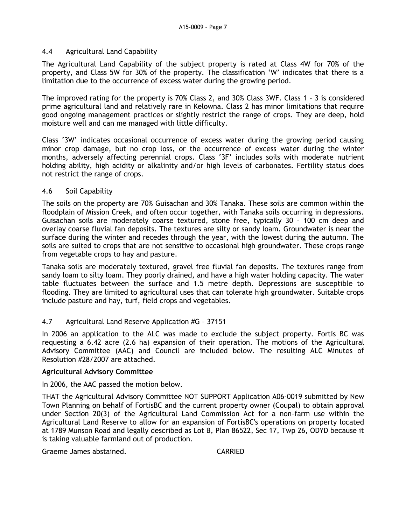### 4.4 Agricultural Land Capability

The Agricultural Land Capability of the subject property is rated at Class 4W for 70% of the property, and Class 5W for 30% of the property. The classification 'W' indicates that there is a limitation due to the occurrence of excess water during the growing period.

The improved rating for the property is 70% Class 2, and 30% Class 3WF. Class 1 – 3 is considered prime agricultural land and relatively rare in Kelowna. Class 2 has minor limitations that require good ongoing management practices or slightly restrict the range of crops. They are deep, hold moisture well and can me managed with little difficulty.

Class '3W' indicates occasional occurrence of excess water during the growing period causing minor crop damage, but no crop loss, or the occurrence of excess water during the winter months, adversely affecting perennial crops. Class '3F' includes soils with moderate nutrient holding ability, high acidity or alkalinity and/or high levels of carbonates. Fertility status does not restrict the range of crops.

### 4.6 Soil Capability

The soils on the property are 70% Guisachan and 30% Tanaka. These soils are common within the floodplain of Mission Creek, and often occur together, with Tanaka soils occurring in depressions. Guisachan soils are moderately coarse textured, stone free, typically 30 – 100 cm deep and overlay coarse fluvial fan deposits. The textures are silty or sandy loam. Groundwater is near the surface during the winter and recedes through the year, with the lowest during the autumn. The soils are suited to crops that are not sensitive to occasional high groundwater. These crops range from vegetable crops to hay and pasture.

Tanaka soils are moderately textured, gravel free fluvial fan deposits. The textures range from sandy loam to silty loam. They poorly drained, and have a high water holding capacity. The water table fluctuates between the surface and 1.5 metre depth. Depressions are susceptible to flooding. They are limited to agricultural uses that can tolerate high groundwater. Suitable crops include pasture and hay, turf, field crops and vegetables.

# 4.7 Agricultural Land Reserve Application #G – 37151

In 2006 an application to the ALC was made to exclude the subject property. Fortis BC was requesting a 6.42 acre (2.6 ha) expansion of their operation. The motions of the Agricultural Advisory Committee (AAC) and Council are included below. The resulting ALC Minutes of Resolution #28/2007 are attached.

### **Agricultural Advisory Committee**

In 2006, the AAC passed the motion below.

THAT the Agricultural Advisory Committee NOT SUPPORT Application A06-0019 submitted by New Town Planning on behalf of FortisBC and the current property owner (Coupal) to obtain approval under Section 20(3) of the Agricultural Land Commission Act for a non-farm use within the Agricultural Land Reserve to allow for an expansion of FortisBC's operations on property located at 1789 Munson Road and legally described as Lot B, Plan 86522, Sec 17, Twp 26, ODYD because it is taking valuable farmland out of production.

Graeme James abstained. CARRIED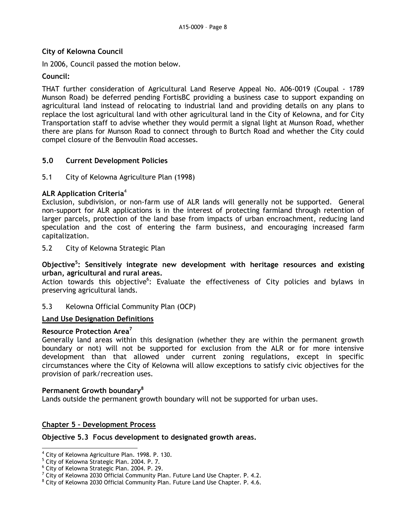# **City of Kelowna Council**

In 2006, Council passed the motion below.

### **Council:**

THAT further consideration of Agricultural Land Reserve Appeal No. A06-0019 (Coupal - 1789 Munson Road) be deferred pending FortisBC providing a business case to support expanding on agricultural land instead of relocating to industrial land and providing details on any plans to replace the lost agricultural land with other agricultural land in the City of Kelowna, and for City Transportation staff to advise whether they would permit a signal light at Munson Road, whether there are plans for Munson Road to connect through to Burtch Road and whether the City could compel closure of the Benvoulin Road accesses.

# **5.0 Current Development Policies**

### 5.1 City of Kelowna Agriculture Plan (1998)

### **ALR Application Criteria**<sup>4</sup>

Exclusion, subdivision, or non-farm use of ALR lands will generally not be supported. General non-support for ALR applications is in the interest of protecting farmland through retention of larger parcels, protection of the land base from impacts of urban encroachment, reducing land speculation and the cost of entering the farm business, and encouraging increased farm capitalization.

5.2 City of Kelowna Strategic Plan

**Objective<sup>5</sup> : Sensitively integrate new development with heritage resources and existing urban, agricultural and rural areas.**

Action towards this objective<sup>6</sup>: Evaluate the effectiveness of City policies and bylaws in preserving agricultural lands.

### 5.3 Kelowna Official Community Plan (OCP)

# **Land Use Designation Definitions**

#### **Resource Protection Area<sup>7</sup>**

Generally land areas within this designation (whether they are within the permanent growth boundary or not) will not be supported for exclusion from the ALR or for more intensive development than that allowed under current zoning regulations, except in specific circumstances where the City of Kelowna will allow exceptions to satisfy civic objectives for the provision of park/recreation uses.

#### **Permanent Growth boundary<sup>8</sup>**

Lands outside the permanent growth boundary will not be supported for urban uses.

# **Chapter 5 – Development Process**

#### **Objective 5.3 Focus development to designated growth areas.**

<sup>1</sup> <sup>4</sup> City of Kelowna Agriculture Plan. 1998. P. 130.

<sup>5</sup> City of Kelowna Strategic Plan. 2004. P. 7.

<sup>6</sup> City of Kelowna Strategic Plan. 2004. P. 29.

 $7$  City of Kelowna 2030 Official Community Plan. Future Land Use Chapter. P. 4.2.

 $8$  City of Kelowna 2030 Official Community Plan. Future Land Use Chapter. P. 4.6.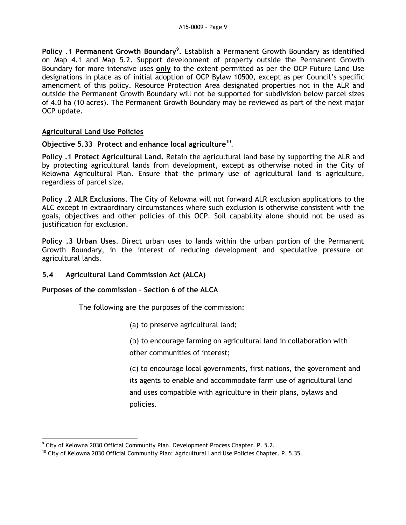**Policy .1 Permanent Growth Boundary<sup>9</sup> .** Establish a Permanent Growth Boundary as identified on Map 4.1 and Map 5.2. Support development of property outside the Permanent Growth Boundary for more intensive uses **only** to the extent permitted as per the OCP Future Land Use designations in place as of initial adoption of OCP Bylaw 10500, except as per Council's specific amendment of this policy. Resource Protection Area designated properties not in the ALR and outside the Permanent Growth Boundary will not be supported for subdivision below parcel sizes of 4.0 ha (10 acres). The Permanent Growth Boundary may be reviewed as part of the next major OCP update.

# **Agricultural Land Use Policies**

Objective 5.33 Protect and enhance local agriculture<sup>10</sup>.

**Policy .1 Protect Agricultural Land.** Retain the agricultural land base by supporting the ALR and by protecting agricultural lands from development, except as otherwise noted in the City of Kelowna Agricultural Plan. Ensure that the primary use of agricultural land is agriculture, regardless of parcel size.

**Policy .2 ALR Exclusions**. The City of Kelowna will not forward ALR exclusion applications to the ALC except in extraordinary circumstances where such exclusion is otherwise consistent with the goals, objectives and other policies of this OCP. Soil capability alone should not be used as justification for exclusion.

**Policy .3 Urban Uses**. Direct urban uses to lands within the urban portion of the Permanent Growth Boundary, in the interest of reducing development and speculative pressure on agricultural lands.

# **5.4 Agricultural Land Commission Act (ALCA)**

# **Purposes of the commission – Section 6 of the ALCA**

The following are the purposes of the commission:

(a) to preserve agricultural land;

(b) to encourage farming on agricultural land in collaboration with other communities of interest;

(c) to encourage local governments, first nations, the government and its agents to enable and accommodate farm use of agricultural land and uses compatible with agriculture in their plans, bylaws and policies.

<sup>1</sup>  $^9$  City of Kelowna 2030 Official Community Plan. Development Process Chapter. P. 5.2.

<sup>&</sup>lt;sup>10</sup> City of Kelowna 2030 Official Community Plan: Agricultural Land Use Policies Chapter. P. 5.35.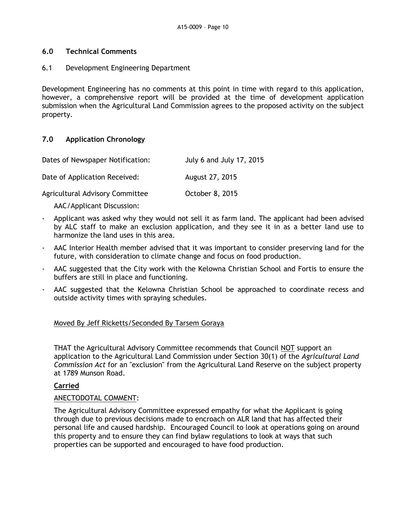### **6.0 Technical Comments**

### 6.1 Development Engineering Department

Development Engineering has no comments at this point in time with regard to this application, however, a comprehensive report will be provided at the time of development application submission when the Agricultural Land Commission agrees to the proposed activity on the subject property.

# **7.0 Application Chronology**

| Dates of Newspaper Notification: | July 6 and July 17, 2015 |
|----------------------------------|--------------------------|
| Date of Application Received:    | August 27, 2015          |
| Agricultural Advisory Committee  | October 8, 2015          |

AAC/Applicant Discussion:

- Applicant was asked why they would not sell it as farm land. The applicant had been advised by ALC staff to make an exclusion application, and they see it in as a better land use to harmonize the land uses in this area.
- AAC Interior Health member advised that it was important to consider preserving land for the future, with consideration to climate change and focus on food production.
- AAC suggested that the City work with the Kelowna Christian School and Fortis to ensure the buffers are still in place and functioning.
- AAC suggested that the Kelowna Christian School be approached to coordinate recess and outside activity times with spraying schedules.

# Moved By Jeff Ricketts/Seconded By Tarsem Goraya

THAT the Agricultural Advisory Committee recommends that Council NOT support an application to the Agricultural Land Commission under Section 30(1) of the *Agricultural Land Commission Act* for an "exclusion" from the Agricultural Land Reserve on the subject property at 1789 Munson Road.

#### **Carried**

# ANECTODOTAL COMMENT:

The Agricultural Advisory Committee expressed empathy for what the Applicant is going through due to previous decisions made to encroach on ALR land that has affected their personal life and caused hardship. Encouraged Council to look at operations going on around this property and to ensure they can find bylaw regulations to look at ways that such properties can be supported and encouraged to have food production.